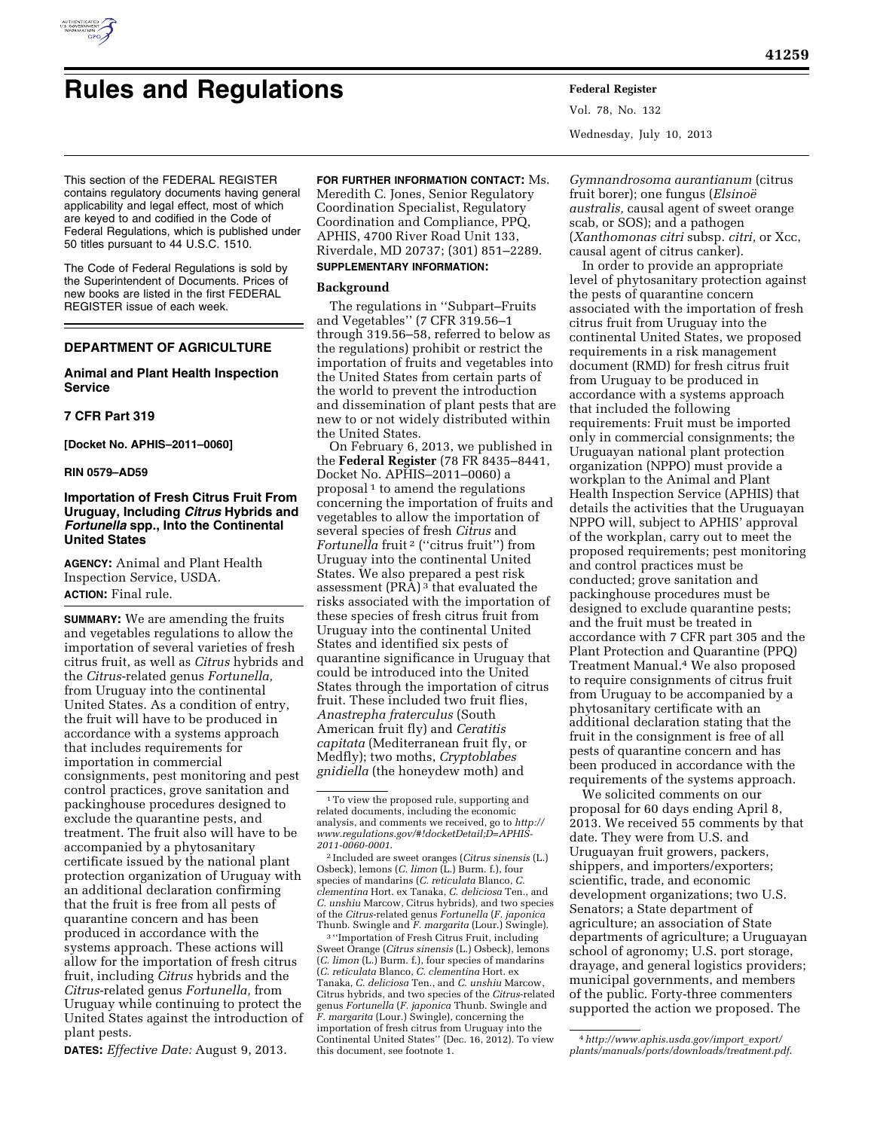

# **Rules and Regulations Federal Register**

Vol. 78, No. 132 Wednesday, July 10, 2013

This section of the FEDERAL REGISTER contains regulatory documents having general applicability and legal effect, most of which are keyed to and codified in the Code of Federal Regulations, which is published under 50 titles pursuant to 44 U.S.C. 1510.

The Code of Federal Regulations is sold by the Superintendent of Documents. Prices of new books are listed in the first FEDERAL REGISTER issue of each week.

# **DEPARTMENT OF AGRICULTURE**

# **Animal and Plant Health Inspection Service**

## **7 CFR Part 319**

**[Docket No. APHIS–2011–0060]** 

#### **RIN 0579–AD59**

# **Importation of Fresh Citrus Fruit From Uruguay, Including** *Citrus* **Hybrids and**  *Fortunella* **spp., Into the Continental United States**

**AGENCY:** Animal and Plant Health Inspection Service, USDA. **ACTION:** Final rule.

**SUMMARY:** We are amending the fruits and vegetables regulations to allow the importation of several varieties of fresh citrus fruit, as well as *Citrus* hybrids and the *Citrus*-related genus *Fortunella,*  from Uruguay into the continental United States. As a condition of entry, the fruit will have to be produced in accordance with a systems approach that includes requirements for importation in commercial consignments, pest monitoring and pest control practices, grove sanitation and packinghouse procedures designed to exclude the quarantine pests, and treatment. The fruit also will have to be accompanied by a phytosanitary certificate issued by the national plant protection organization of Uruguay with an additional declaration confirming that the fruit is free from all pests of quarantine concern and has been produced in accordance with the systems approach. These actions will allow for the importation of fresh citrus fruit, including *Citrus* hybrids and the *Citrus*-related genus *Fortunella,* from Uruguay while continuing to protect the United States against the introduction of plant pests.

**DATES:** *Effective Date:* August 9, 2013.

**FOR FURTHER INFORMATION CONTACT:** Ms. Meredith C. Jones, Senior Regulatory Coordination Specialist, Regulatory Coordination and Compliance, PPQ, APHIS, 4700 River Road Unit 133, Riverdale, MD 20737; (301) 851–2289. **SUPPLEMENTARY INFORMATION:** 

#### **Background**

The regulations in ''Subpart–Fruits and Vegetables'' (7 CFR 319.56–1 through 319.56–58, referred to below as the regulations) prohibit or restrict the importation of fruits and vegetables into the United States from certain parts of the world to prevent the introduction and dissemination of plant pests that are new to or not widely distributed within the United States.

On February 6, 2013, we published in the **Federal Register** (78 FR 8435–8441, Docket No. APHIS–2011–0060) a proposal 1 to amend the regulations concerning the importation of fruits and vegetables to allow the importation of several species of fresh *Citrus* and *Fortunella* fruit 2 (''citrus fruit'') from Uruguay into the continental United States. We also prepared a pest risk assessment  $(PRA)^3$  that evaluated the risks associated with the importation of these species of fresh citrus fruit from Uruguay into the continental United States and identified six pests of quarantine significance in Uruguay that could be introduced into the United States through the importation of citrus fruit. These included two fruit flies, *Anastrepha fraterculus* (South American fruit fly) and *Ceratitis capitata* (Mediterranean fruit fly, or Medfly); two moths, *Cryptoblabes gnidiella* (the honeydew moth) and

3 ''Importation of Fresh Citrus Fruit, including Sweet Orange (*Citrus sinensis* (L.) Osbeck), lemons (*C. limon* (L.) Burm. f.), four species of mandarins (*C. reticulata* Blanco, *C. clementina* Hort. ex Tanaka, *C. deliciosa* Ten., and *C. unshiu* Marcow, Citrus hybrids, and two species of the *Citrus*-related genus *Fortunella* (*F. japonica* Thunb. Swingle and *F. margarita* (Lour.) Swingle), concerning the importation of fresh citrus from Uruguay into the Continental United States'' (Dec. 16, 2012). To view this document, see footnote 1.

*Gymnandrosoma aurantianum* (citrus fruit borer); one fungus (*Elsinoe¨ australis,* causal agent of sweet orange scab, or SOS); and a pathogen (*Xanthomonas citri* subsp. *citri,* or Xcc, causal agent of citrus canker).

In order to provide an appropriate level of phytosanitary protection against the pests of quarantine concern associated with the importation of fresh citrus fruit from Uruguay into the continental United States, we proposed requirements in a risk management document (RMD) for fresh citrus fruit from Uruguay to be produced in accordance with a systems approach that included the following requirements: Fruit must be imported only in commercial consignments; the Uruguayan national plant protection organization (NPPO) must provide a workplan to the Animal and Plant Health Inspection Service (APHIS) that details the activities that the Uruguayan NPPO will, subject to APHIS' approval of the workplan, carry out to meet the proposed requirements; pest monitoring and control practices must be conducted; grove sanitation and packinghouse procedures must be designed to exclude quarantine pests; and the fruit must be treated in accordance with 7 CFR part 305 and the Plant Protection and Quarantine (PPQ) Treatment Manual.4 We also proposed to require consignments of citrus fruit from Uruguay to be accompanied by a phytosanitary certificate with an additional declaration stating that the fruit in the consignment is free of all pests of quarantine concern and has been produced in accordance with the requirements of the systems approach.

We solicited comments on our proposal for 60 days ending April 8, 2013. We received 55 comments by that date. They were from U.S. and Uruguayan fruit growers, packers, shippers, and importers/exporters; scientific, trade, and economic development organizations; two U.S. Senators; a State department of agriculture; an association of State departments of agriculture; a Uruguayan school of agronomy; U.S. port storage, drayage, and general logistics providers; municipal governments, and members of the public. Forty-three commenters supported the action we proposed. The

 $^{\rm 1}\!$  To view the proposed rule, supporting and related documents, including the economic analysis, and comments we received, go to *[http://](http://www.regulations.gov/#!docketDetail;D=APHIS-2011-0060-0001) [www.regulations.gov/#!docketDetail;D=APHIS-](http://www.regulations.gov/#!docketDetail;D=APHIS-2011-0060-0001)[2011-0060-0001](http://www.regulations.gov/#!docketDetail;D=APHIS-2011-0060-0001)*.

<sup>2</sup> Included are sweet oranges (*Citrus sinensis* (L.) Osbeck), lemons (*C. limon* (L.) Burm. f.), four species of mandarins (*C. reticulata* Blanco, *C. clementina* Hort. ex Tanaka, *C. deliciosa* Ten., and *C. unshiu* Marcow, Citrus hybrids), and two species of the *Citrus*-related genus *Fortunella* (*F. japonica*  Thunb. Swingle and *F. margarita* (Lour.) Swingle).

<sup>4</sup>*[http://www.aphis.usda.gov/import](http://www.aphis.usda.gov/import_export/plants/manuals/ports/downloads/treatment.pdf)*\_*export/ [plants/manuals/ports/downloads/treatment.pdf](http://www.aphis.usda.gov/import_export/plants/manuals/ports/downloads/treatment.pdf)*.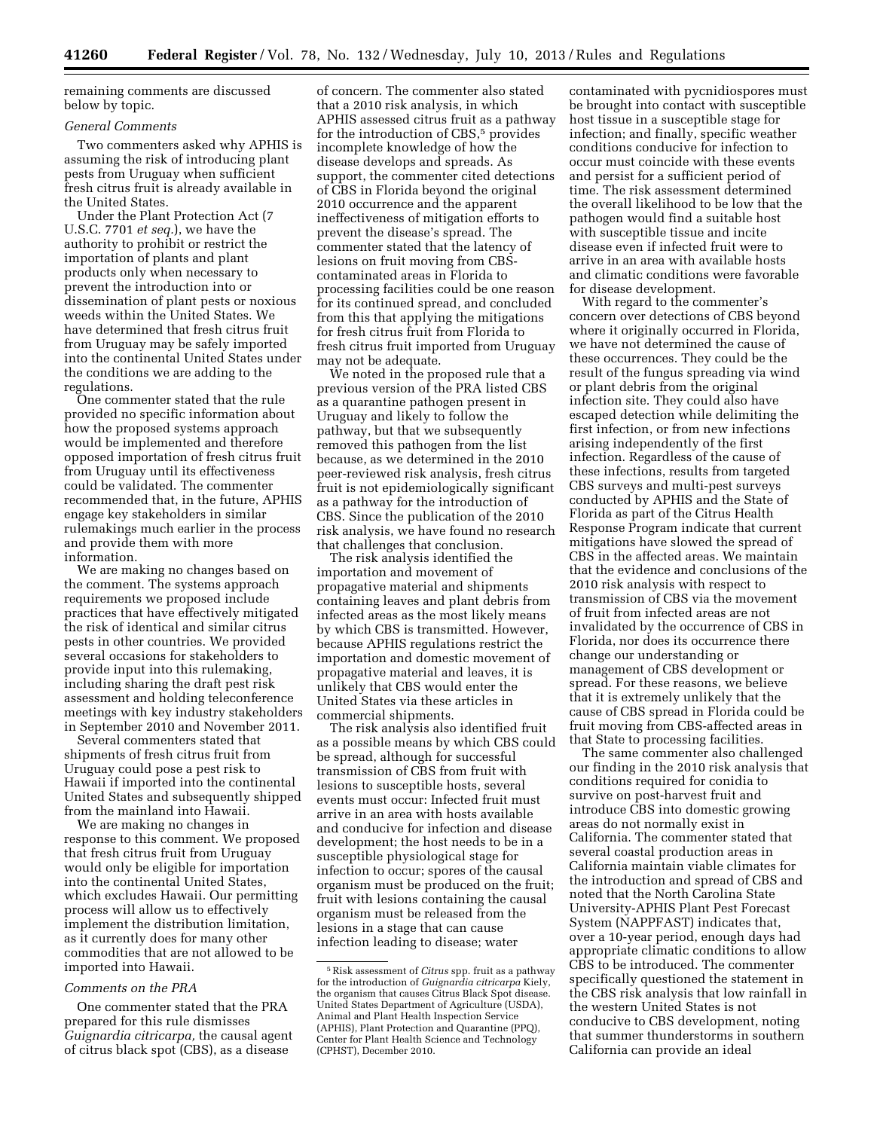remaining comments are discussed below by topic.

#### *General Comments*

Two commenters asked why APHIS is assuming the risk of introducing plant pests from Uruguay when sufficient fresh citrus fruit is already available in the United States.

Under the Plant Protection Act (7 U.S.C. 7701 *et seq.*), we have the authority to prohibit or restrict the importation of plants and plant products only when necessary to prevent the introduction into or dissemination of plant pests or noxious weeds within the United States. We have determined that fresh citrus fruit from Uruguay may be safely imported into the continental United States under the conditions we are adding to the regulations.

One commenter stated that the rule provided no specific information about how the proposed systems approach would be implemented and therefore opposed importation of fresh citrus fruit from Uruguay until its effectiveness could be validated. The commenter recommended that, in the future, APHIS engage key stakeholders in similar rulemakings much earlier in the process and provide them with more information.

We are making no changes based on the comment. The systems approach requirements we proposed include practices that have effectively mitigated the risk of identical and similar citrus pests in other countries. We provided several occasions for stakeholders to provide input into this rulemaking, including sharing the draft pest risk assessment and holding teleconference meetings with key industry stakeholders in September 2010 and November 2011.

Several commenters stated that shipments of fresh citrus fruit from Uruguay could pose a pest risk to Hawaii if imported into the continental United States and subsequently shipped from the mainland into Hawaii.

We are making no changes in response to this comment. We proposed that fresh citrus fruit from Uruguay would only be eligible for importation into the continental United States, which excludes Hawaii. Our permitting process will allow us to effectively implement the distribution limitation, as it currently does for many other commodities that are not allowed to be imported into Hawaii.

## *Comments on the PRA*

One commenter stated that the PRA prepared for this rule dismisses *Guignardia citricarpa,* the causal agent of citrus black spot (CBS), as a disease

of concern. The commenter also stated that a 2010 risk analysis, in which APHIS assessed citrus fruit as a pathway for the introduction of CBS,<sup>5</sup> provides incomplete knowledge of how the disease develops and spreads. As support, the commenter cited detections of CBS in Florida beyond the original 2010 occurrence and the apparent ineffectiveness of mitigation efforts to prevent the disease's spread. The commenter stated that the latency of lesions on fruit moving from CBScontaminated areas in Florida to processing facilities could be one reason for its continued spread, and concluded from this that applying the mitigations for fresh citrus fruit from Florida to fresh citrus fruit imported from Uruguay may not be adequate.

We noted in the proposed rule that a previous version of the PRA listed CBS as a quarantine pathogen present in Uruguay and likely to follow the pathway, but that we subsequently removed this pathogen from the list because, as we determined in the 2010 peer-reviewed risk analysis, fresh citrus fruit is not epidemiologically significant as a pathway for the introduction of CBS. Since the publication of the 2010 risk analysis, we have found no research that challenges that conclusion.

The risk analysis identified the importation and movement of propagative material and shipments containing leaves and plant debris from infected areas as the most likely means by which CBS is transmitted. However, because APHIS regulations restrict the importation and domestic movement of propagative material and leaves, it is unlikely that CBS would enter the United States via these articles in commercial shipments.

The risk analysis also identified fruit as a possible means by which CBS could be spread, although for successful transmission of CBS from fruit with lesions to susceptible hosts, several events must occur: Infected fruit must arrive in an area with hosts available and conducive for infection and disease development; the host needs to be in a susceptible physiological stage for infection to occur; spores of the causal organism must be produced on the fruit; fruit with lesions containing the causal organism must be released from the lesions in a stage that can cause infection leading to disease; water

contaminated with pycnidiospores must be brought into contact with susceptible host tissue in a susceptible stage for infection; and finally, specific weather conditions conducive for infection to occur must coincide with these events and persist for a sufficient period of time. The risk assessment determined the overall likelihood to be low that the pathogen would find a suitable host with susceptible tissue and incite disease even if infected fruit were to arrive in an area with available hosts and climatic conditions were favorable for disease development.

With regard to the commenter's concern over detections of CBS beyond where it originally occurred in Florida, we have not determined the cause of these occurrences. They could be the result of the fungus spreading via wind or plant debris from the original infection site. They could also have escaped detection while delimiting the first infection, or from new infections arising independently of the first infection. Regardless of the cause of these infections, results from targeted CBS surveys and multi-pest surveys conducted by APHIS and the State of Florida as part of the Citrus Health Response Program indicate that current mitigations have slowed the spread of CBS in the affected areas. We maintain that the evidence and conclusions of the 2010 risk analysis with respect to transmission of CBS via the movement of fruit from infected areas are not invalidated by the occurrence of CBS in Florida, nor does its occurrence there change our understanding or management of CBS development or spread. For these reasons, we believe that it is extremely unlikely that the cause of CBS spread in Florida could be fruit moving from CBS-affected areas in that State to processing facilities.

The same commenter also challenged our finding in the 2010 risk analysis that conditions required for conidia to survive on post-harvest fruit and introduce CBS into domestic growing areas do not normally exist in California. The commenter stated that several coastal production areas in California maintain viable climates for the introduction and spread of CBS and noted that the North Carolina State University-APHIS Plant Pest Forecast System (NAPPFAST) indicates that, over a 10-year period, enough days had appropriate climatic conditions to allow CBS to be introduced. The commenter specifically questioned the statement in the CBS risk analysis that low rainfall in the western United States is not conducive to CBS development, noting that summer thunderstorms in southern California can provide an ideal

<sup>5</sup>Risk assessment of *Citrus* spp. fruit as a pathway for the introduction of *Guignardia citricarpa* Kiely, the organism that causes Citrus Black Spot disease. United States Department of Agriculture (USDA), Animal and Plant Health Inspection Service (APHIS), Plant Protection and Quarantine (PPQ), Center for Plant Health Science and Technology (CPHST), December 2010.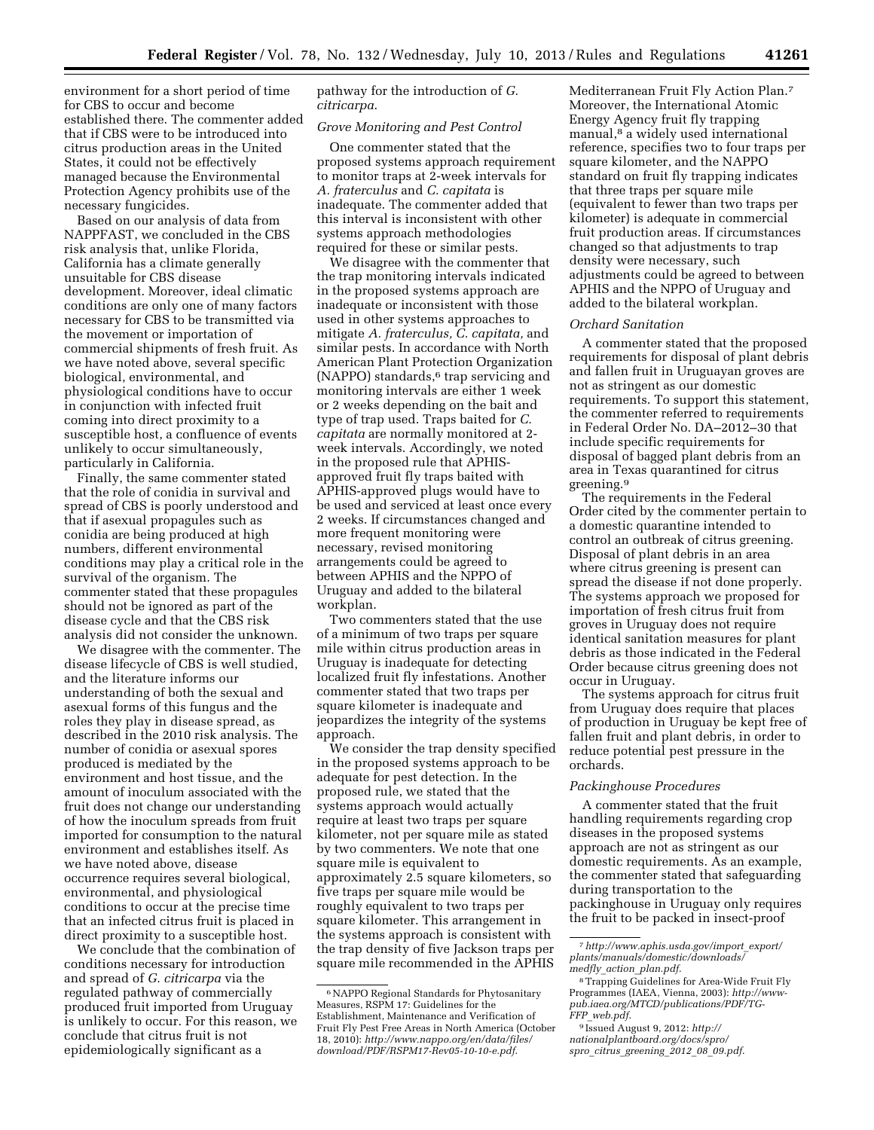environment for a short period of time for CBS to occur and become established there. The commenter added that if CBS were to be introduced into citrus production areas in the United States, it could not be effectively managed because the Environmental Protection Agency prohibits use of the necessary fungicides.

Based on our analysis of data from NAPPFAST, we concluded in the CBS risk analysis that, unlike Florida, California has a climate generally unsuitable for CBS disease development. Moreover, ideal climatic conditions are only one of many factors necessary for CBS to be transmitted via the movement or importation of commercial shipments of fresh fruit. As we have noted above, several specific biological, environmental, and physiological conditions have to occur in conjunction with infected fruit coming into direct proximity to a susceptible host, a confluence of events unlikely to occur simultaneously, particularly in California.

Finally, the same commenter stated that the role of conidia in survival and spread of CBS is poorly understood and that if asexual propagules such as conidia are being produced at high numbers, different environmental conditions may play a critical role in the survival of the organism. The commenter stated that these propagules should not be ignored as part of the disease cycle and that the CBS risk analysis did not consider the unknown.

We disagree with the commenter. The disease lifecycle of CBS is well studied, and the literature informs our understanding of both the sexual and asexual forms of this fungus and the roles they play in disease spread, as described in the 2010 risk analysis. The number of conidia or asexual spores produced is mediated by the environment and host tissue, and the amount of inoculum associated with the fruit does not change our understanding of how the inoculum spreads from fruit imported for consumption to the natural environment and establishes itself. As we have noted above, disease occurrence requires several biological, environmental, and physiological conditions to occur at the precise time that an infected citrus fruit is placed in direct proximity to a susceptible host.

We conclude that the combination of conditions necessary for introduction and spread of *G. citricarpa* via the regulated pathway of commercially produced fruit imported from Uruguay is unlikely to occur. For this reason, we conclude that citrus fruit is not epidemiologically significant as a

pathway for the introduction of *G. citricarpa*.

#### *Grove Monitoring and Pest Control*

One commenter stated that the proposed systems approach requirement to monitor traps at 2-week intervals for *A. fraterculus* and *C. capitata* is inadequate. The commenter added that this interval is inconsistent with other systems approach methodologies required for these or similar pests.

We disagree with the commenter that the trap monitoring intervals indicated in the proposed systems approach are inadequate or inconsistent with those used in other systems approaches to mitigate *A. fraterculus, C. capitata,* and similar pests. In accordance with North American Plant Protection Organization (NAPPO) standards,<sup>6</sup> trap servicing and monitoring intervals are either 1 week or 2 weeks depending on the bait and type of trap used. Traps baited for *C. capitata* are normally monitored at 2 week intervals. Accordingly, we noted in the proposed rule that APHISapproved fruit fly traps baited with APHIS-approved plugs would have to be used and serviced at least once every 2 weeks. If circumstances changed and more frequent monitoring were necessary, revised monitoring arrangements could be agreed to between APHIS and the NPPO of Uruguay and added to the bilateral workplan.

Two commenters stated that the use of a minimum of two traps per square mile within citrus production areas in Uruguay is inadequate for detecting localized fruit fly infestations. Another commenter stated that two traps per square kilometer is inadequate and jeopardizes the integrity of the systems approach.

We consider the trap density specified in the proposed systems approach to be adequate for pest detection. In the proposed rule, we stated that the systems approach would actually require at least two traps per square kilometer, not per square mile as stated by two commenters. We note that one square mile is equivalent to approximately 2.5 square kilometers, so five traps per square mile would be roughly equivalent to two traps per square kilometer. This arrangement in the systems approach is consistent with the trap density of five Jackson traps per square mile recommended in the APHIS

Mediterranean Fruit Fly Action Plan.7 Moreover, the International Atomic Energy Agency fruit fly trapping manual,<sup>8</sup> a widely used international reference, specifies two to four traps per square kilometer, and the NAPPO standard on fruit fly trapping indicates that three traps per square mile (equivalent to fewer than two traps per kilometer) is adequate in commercial fruit production areas. If circumstances changed so that adjustments to trap density were necessary, such adjustments could be agreed to between APHIS and the NPPO of Uruguay and added to the bilateral workplan.

#### *Orchard Sanitation*

A commenter stated that the proposed requirements for disposal of plant debris and fallen fruit in Uruguayan groves are not as stringent as our domestic requirements. To support this statement, the commenter referred to requirements in Federal Order No. DA–2012–30 that include specific requirements for disposal of bagged plant debris from an area in Texas quarantined for citrus greening.9

The requirements in the Federal Order cited by the commenter pertain to a domestic quarantine intended to control an outbreak of citrus greening. Disposal of plant debris in an area where citrus greening is present can spread the disease if not done properly. The systems approach we proposed for importation of fresh citrus fruit from groves in Uruguay does not require identical sanitation measures for plant debris as those indicated in the Federal Order because citrus greening does not occur in Uruguay.

The systems approach for citrus fruit from Uruguay does require that places of production in Uruguay be kept free of fallen fruit and plant debris, in order to reduce potential pest pressure in the orchards.

#### *Packinghouse Procedures*

A commenter stated that the fruit handling requirements regarding crop diseases in the proposed systems approach are not as stringent as our domestic requirements. As an example, the commenter stated that safeguarding during transportation to the packinghouse in Uruguay only requires the fruit to be packed in insect-proof

<sup>6</sup>NAPPO Regional Standards for Phytosanitary Measures, RSPM 17: Guidelines for the Establishment, Maintenance and Verification of Fruit Fly Pest Free Areas in North America (October 18, 2010): *[http://www.nappo.org/en/data/files/](http://www.nappo.org/en/data/files/download/PDF/RSPM17-Rev05-10-10-e.pdf) [download/PDF/RSPM17-Rev05-10-10-e.pdf](http://www.nappo.org/en/data/files/download/PDF/RSPM17-Rev05-10-10-e.pdf)*.

<sup>7</sup>*[http://www.aphis.usda.gov/import](http://www.aphis.usda.gov/import_export/plants/manuals/domestic/downloads/medfly_action_plan.pdf)*\_*export/ [plants/manuals/domestic/downloads/](http://www.aphis.usda.gov/import_export/plants/manuals/domestic/downloads/medfly_action_plan.pdf) medfly*\_*action*\_*[plan.pdf](http://www.aphis.usda.gov/import_export/plants/manuals/domestic/downloads/medfly_action_plan.pdf)*.

<sup>8</sup>Trapping Guidelines for Area-Wide Fruit Fly Programmes (IAEA, Vienna, 2003): *[http://www](http://www-pub.iaea.org/MTCD/publications/PDF/TG-FFP_web.pdf)[pub.iaea.org/MTCD/publications/PDF/TG-](http://www-pub.iaea.org/MTCD/publications/PDF/TG-FFP_web.pdf)FFP*\_*[web.pdf](http://www-pub.iaea.org/MTCD/publications/PDF/TG-FFP_web.pdf)*.

<sup>9</sup> Issued August 9, 2012: *[http://](http://nationalplantboard.org/docs/spro/spro_citrus_greening_2012_08_09.pdf) [nationalplantboard.org/docs/spro/](http://nationalplantboard.org/docs/spro/spro_citrus_greening_2012_08_09.pdf)  spro*\_*citrus*\_*[greening](http://nationalplantboard.org/docs/spro/spro_citrus_greening_2012_08_09.pdf)*\_*2012*\_*08*\_*09.pdf*.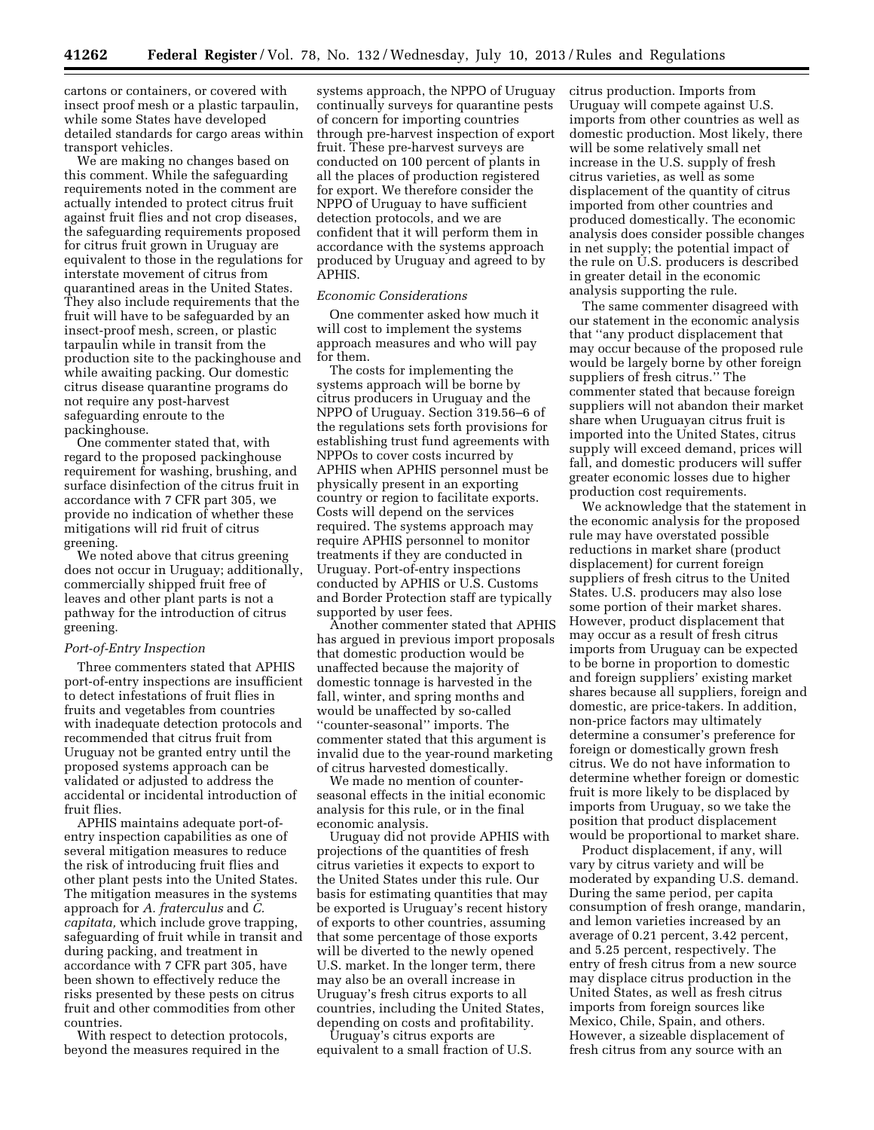cartons or containers, or covered with insect proof mesh or a plastic tarpaulin, while some States have developed detailed standards for cargo areas within transport vehicles.

We are making no changes based on this comment. While the safeguarding requirements noted in the comment are actually intended to protect citrus fruit against fruit flies and not crop diseases, the safeguarding requirements proposed for citrus fruit grown in Uruguay are equivalent to those in the regulations for interstate movement of citrus from quarantined areas in the United States. They also include requirements that the fruit will have to be safeguarded by an insect-proof mesh, screen, or plastic tarpaulin while in transit from the production site to the packinghouse and while awaiting packing. Our domestic citrus disease quarantine programs do not require any post-harvest safeguarding enroute to the packinghouse.

One commenter stated that, with regard to the proposed packinghouse requirement for washing, brushing, and surface disinfection of the citrus fruit in accordance with 7 CFR part 305, we provide no indication of whether these mitigations will rid fruit of citrus greening.

We noted above that citrus greening does not occur in Uruguay; additionally, commercially shipped fruit free of leaves and other plant parts is not a pathway for the introduction of citrus greening.

#### *Port-of-Entry Inspection*

Three commenters stated that APHIS port-of-entry inspections are insufficient to detect infestations of fruit flies in fruits and vegetables from countries with inadequate detection protocols and recommended that citrus fruit from Uruguay not be granted entry until the proposed systems approach can be validated or adjusted to address the accidental or incidental introduction of fruit flies.

APHIS maintains adequate port-ofentry inspection capabilities as one of several mitigation measures to reduce the risk of introducing fruit flies and other plant pests into the United States. The mitigation measures in the systems approach for *A. fraterculus* and *C. capitata,* which include grove trapping, safeguarding of fruit while in transit and during packing, and treatment in accordance with 7 CFR part 305, have been shown to effectively reduce the risks presented by these pests on citrus fruit and other commodities from other countries.

With respect to detection protocols, beyond the measures required in the

systems approach, the NPPO of Uruguay continually surveys for quarantine pests of concern for importing countries through pre-harvest inspection of export fruit. These pre-harvest surveys are conducted on 100 percent of plants in all the places of production registered for export. We therefore consider the NPPO of Uruguay to have sufficient detection protocols, and we are confident that it will perform them in accordance with the systems approach produced by Uruguay and agreed to by APHIS.

#### *Economic Considerations*

One commenter asked how much it will cost to implement the systems approach measures and who will pay for them.

The costs for implementing the systems approach will be borne by citrus producers in Uruguay and the NPPO of Uruguay. Section 319.56–6 of the regulations sets forth provisions for establishing trust fund agreements with NPPOs to cover costs incurred by APHIS when APHIS personnel must be physically present in an exporting country or region to facilitate exports. Costs will depend on the services required. The systems approach may require APHIS personnel to monitor treatments if they are conducted in Uruguay. Port-of-entry inspections conducted by APHIS or U.S. Customs and Border Protection staff are typically supported by user fees.

Another commenter stated that APHIS has argued in previous import proposals that domestic production would be unaffected because the majority of domestic tonnage is harvested in the fall, winter, and spring months and would be unaffected by so-called ''counter-seasonal'' imports. The commenter stated that this argument is invalid due to the year-round marketing of citrus harvested domestically.

We made no mention of counterseasonal effects in the initial economic analysis for this rule, or in the final economic analysis.

Uruguay did not provide APHIS with projections of the quantities of fresh citrus varieties it expects to export to the United States under this rule. Our basis for estimating quantities that may be exported is Uruguay's recent history of exports to other countries, assuming that some percentage of those exports will be diverted to the newly opened U.S. market. In the longer term, there may also be an overall increase in Uruguay's fresh citrus exports to all countries, including the United States, depending on costs and profitability.

Uruguay's citrus exports are equivalent to a small fraction of U.S. citrus production. Imports from Uruguay will compete against U.S. imports from other countries as well as domestic production. Most likely, there will be some relatively small net increase in the U.S. supply of fresh citrus varieties, as well as some displacement of the quantity of citrus imported from other countries and produced domestically. The economic analysis does consider possible changes in net supply; the potential impact of the rule on U.S. producers is described in greater detail in the economic analysis supporting the rule.

The same commenter disagreed with our statement in the economic analysis that ''any product displacement that may occur because of the proposed rule would be largely borne by other foreign suppliers of fresh citrus.'' The commenter stated that because foreign suppliers will not abandon their market share when Uruguayan citrus fruit is imported into the United States, citrus supply will exceed demand, prices will fall, and domestic producers will suffer greater economic losses due to higher production cost requirements.

We acknowledge that the statement in the economic analysis for the proposed rule may have overstated possible reductions in market share (product displacement) for current foreign suppliers of fresh citrus to the United States. U.S. producers may also lose some portion of their market shares. However, product displacement that may occur as a result of fresh citrus imports from Uruguay can be expected to be borne in proportion to domestic and foreign suppliers' existing market shares because all suppliers, foreign and domestic, are price-takers. In addition, non-price factors may ultimately determine a consumer's preference for foreign or domestically grown fresh citrus. We do not have information to determine whether foreign or domestic fruit is more likely to be displaced by imports from Uruguay, so we take the position that product displacement would be proportional to market share.

Product displacement, if any, will vary by citrus variety and will be moderated by expanding U.S. demand. During the same period, per capita consumption of fresh orange, mandarin, and lemon varieties increased by an average of 0.21 percent, 3.42 percent, and 5.25 percent, respectively. The entry of fresh citrus from a new source may displace citrus production in the United States, as well as fresh citrus imports from foreign sources like Mexico, Chile, Spain, and others. However, a sizeable displacement of fresh citrus from any source with an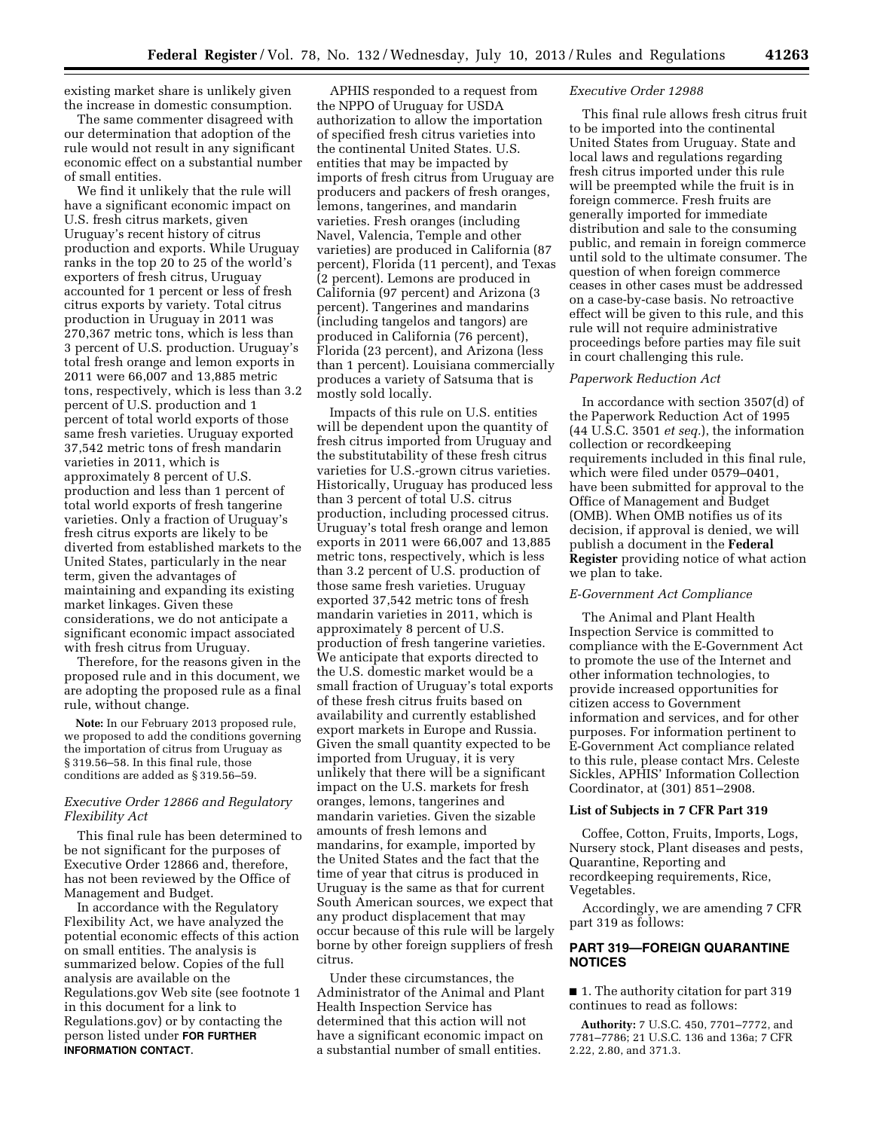existing market share is unlikely given the increase in domestic consumption.

The same commenter disagreed with our determination that adoption of the rule would not result in any significant economic effect on a substantial number of small entities.

We find it unlikely that the rule will have a significant economic impact on U.S. fresh citrus markets, given Uruguay's recent history of citrus production and exports. While Uruguay ranks in the top 20 to 25 of the world's exporters of fresh citrus, Uruguay accounted for 1 percent or less of fresh citrus exports by variety. Total citrus production in Uruguay in 2011 was 270,367 metric tons, which is less than 3 percent of U.S. production. Uruguay's total fresh orange and lemon exports in 2011 were 66,007 and 13,885 metric tons, respectively, which is less than 3.2 percent of U.S. production and 1 percent of total world exports of those same fresh varieties. Uruguay exported 37,542 metric tons of fresh mandarin varieties in 2011, which is approximately 8 percent of U.S. production and less than 1 percent of total world exports of fresh tangerine varieties. Only a fraction of Uruguay's fresh citrus exports are likely to be diverted from established markets to the United States, particularly in the near term, given the advantages of maintaining and expanding its existing market linkages. Given these considerations, we do not anticipate a significant economic impact associated with fresh citrus from Uruguay.

Therefore, for the reasons given in the proposed rule and in this document, we are adopting the proposed rule as a final rule, without change.

**Note:** In our February 2013 proposed rule, we proposed to add the conditions governing the importation of citrus from Uruguay as § 319.56–58. In this final rule, those conditions are added as § 319.56–59.

## *Executive Order 12866 and Regulatory Flexibility Act*

This final rule has been determined to be not significant for the purposes of Executive Order 12866 and, therefore, has not been reviewed by the Office of Management and Budget.

In accordance with the Regulatory Flexibility Act, we have analyzed the potential economic effects of this action on small entities. The analysis is summarized below. Copies of the full analysis are available on the Regulations.gov Web site (see footnote 1 in this document for a link to Regulations.gov) or by contacting the person listed under **FOR FURTHER INFORMATION CONTACT**.

APHIS responded to a request from the NPPO of Uruguay for USDA authorization to allow the importation of specified fresh citrus varieties into the continental United States. U.S. entities that may be impacted by imports of fresh citrus from Uruguay are producers and packers of fresh oranges, lemons, tangerines, and mandarin varieties. Fresh oranges (including Navel, Valencia, Temple and other varieties) are produced in California (87 percent), Florida (11 percent), and Texas (2 percent). Lemons are produced in California (97 percent) and Arizona (3 percent). Tangerines and mandarins (including tangelos and tangors) are produced in California (76 percent), Florida (23 percent), and Arizona (less than 1 percent). Louisiana commercially produces a variety of Satsuma that is mostly sold locally.

Impacts of this rule on U.S. entities will be dependent upon the quantity of fresh citrus imported from Uruguay and the substitutability of these fresh citrus varieties for U.S.-grown citrus varieties. Historically, Uruguay has produced less than 3 percent of total U.S. citrus production, including processed citrus. Uruguay's total fresh orange and lemon exports in 2011 were 66,007 and 13,885 metric tons, respectively, which is less than 3.2 percent of U.S. production of those same fresh varieties. Uruguay exported 37,542 metric tons of fresh mandarin varieties in 2011, which is approximately 8 percent of U.S. production of fresh tangerine varieties. We anticipate that exports directed to the U.S. domestic market would be a small fraction of Uruguay's total exports of these fresh citrus fruits based on availability and currently established export markets in Europe and Russia. Given the small quantity expected to be imported from Uruguay, it is very unlikely that there will be a significant impact on the U.S. markets for fresh oranges, lemons, tangerines and mandarin varieties. Given the sizable amounts of fresh lemons and mandarins, for example, imported by the United States and the fact that the time of year that citrus is produced in Uruguay is the same as that for current South American sources, we expect that any product displacement that may occur because of this rule will be largely borne by other foreign suppliers of fresh citrus.

Under these circumstances, the Administrator of the Animal and Plant Health Inspection Service has determined that this action will not have a significant economic impact on a substantial number of small entities.

## *Executive Order 12988*

This final rule allows fresh citrus fruit to be imported into the continental United States from Uruguay. State and local laws and regulations regarding fresh citrus imported under this rule will be preempted while the fruit is in foreign commerce. Fresh fruits are generally imported for immediate distribution and sale to the consuming public, and remain in foreign commerce until sold to the ultimate consumer. The question of when foreign commerce ceases in other cases must be addressed on a case-by-case basis. No retroactive effect will be given to this rule, and this rule will not require administrative proceedings before parties may file suit in court challenging this rule.

## *Paperwork Reduction Act*

In accordance with section 3507(d) of the Paperwork Reduction Act of 1995 (44 U.S.C. 3501 *et seq.*), the information collection or recordkeeping requirements included in this final rule, which were filed under 0579–0401, have been submitted for approval to the Office of Management and Budget (OMB). When OMB notifies us of its decision, if approval is denied, we will publish a document in the **Federal Register** providing notice of what action we plan to take.

# *E-Government Act Compliance*

The Animal and Plant Health Inspection Service is committed to compliance with the E-Government Act to promote the use of the Internet and other information technologies, to provide increased opportunities for citizen access to Government information and services, and for other purposes. For information pertinent to E-Government Act compliance related to this rule, please contact Mrs. Celeste Sickles, APHIS' Information Collection Coordinator, at (301) 851–2908.

#### **List of Subjects in 7 CFR Part 319**

Coffee, Cotton, Fruits, Imports, Logs, Nursery stock, Plant diseases and pests, Quarantine, Reporting and recordkeeping requirements, Rice, Vegetables.

Accordingly, we are amending 7 CFR part 319 as follows:

## **PART 319—FOREIGN QUARANTINE NOTICES**

■ 1. The authority citation for part 319 continues to read as follows:

**Authority:** 7 U.S.C. 450, 7701–7772, and 7781–7786; 21 U.S.C. 136 and 136a; 7 CFR 2.22, 2.80, and 371.3.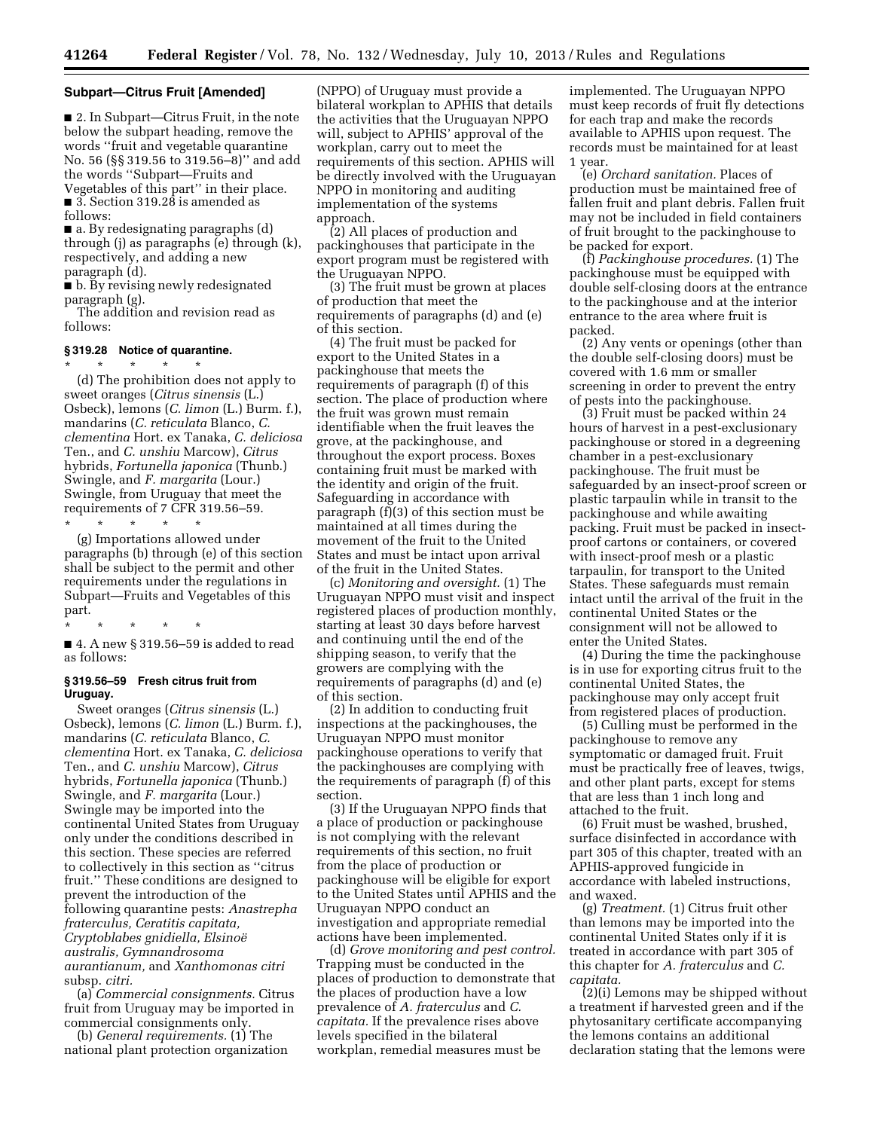#### **Subpart—Citrus Fruit [Amended]**

■ 2. In Subpart—Citrus Fruit, in the note below the subpart heading, remove the words ''fruit and vegetable quarantine No. 56 (§§ 319.56 to 319.56–8)'' and add the words ''Subpart—Fruits and Vegetables of this part'' in their place. ■ 3. Section 319.28 is amended as follows:

■ a. By redesignating paragraphs (d) through (j) as paragraphs (e) through (k), respectively, and adding a new paragraph (d).

■ b. By revising newly redesignated paragraph (g).

The addition and revision read as follows:

#### **§ 319.28 Notice of quarantine.**

\* \* \* \* \* (d) The prohibition does not apply to sweet oranges (*Citrus sinensis* (L.) Osbeck), lemons (*C. limon* (L.) Burm. f.), mandarins (*C. reticulata* Blanco, *C. clementina* Hort. ex Tanaka, *C. deliciosa*  Ten., and *C. unshiu* Marcow), *Citrus*  hybrids, *Fortunella japonica* (Thunb.) Swingle, and *F. margarita* (Lour.) Swingle, from Uruguay that meet the requirements of 7 CFR 319.56–59.

\* \* \* \* \* (g) Importations allowed under paragraphs (b) through (e) of this section shall be subject to the permit and other requirements under the regulations in Subpart—Fruits and Vegetables of this part.

\* \* \* \* \* ■ 4. A new § 319.56–59 is added to read as follows:

#### **§ 319.56–59 Fresh citrus fruit from Uruguay.**

Sweet oranges (*Citrus sinensis* (L.) Osbeck), lemons (*C. limon* (L.) Burm. f.), mandarins (*C. reticulata* Blanco, *C. clementina* Hort. ex Tanaka, *C. deliciosa*  Ten., and *C. unshiu* Marcow), *Citrus*  hybrids, *Fortunella japonica* (Thunb.) Swingle, and *F. margarita* (Lour.) Swingle may be imported into the continental United States from Uruguay only under the conditions described in this section. These species are referred to collectively in this section as ''citrus fruit.'' These conditions are designed to prevent the introduction of the following quarantine pests: *Anastrepha fraterculus, Ceratitis capitata, Cryptoblabes gnidiella, Elsinoe¨ australis, Gymnandrosoma aurantianum,* and *Xanthomonas citri*  subsp. *citri.* 

(a) *Commercial consignments.* Citrus fruit from Uruguay may be imported in commercial consignments only.

(b) *General requirements.* (1) The national plant protection organization

(NPPO) of Uruguay must provide a bilateral workplan to APHIS that details the activities that the Uruguayan NPPO will, subject to APHIS' approval of the workplan, carry out to meet the requirements of this section. APHIS will be directly involved with the Uruguayan NPPO in monitoring and auditing implementation of the systems approach.

(2) All places of production and packinghouses that participate in the export program must be registered with the Uruguayan NPPO.

(3) The fruit must be grown at places of production that meet the requirements of paragraphs (d) and (e) of this section.

(4) The fruit must be packed for export to the United States in a packinghouse that meets the requirements of paragraph (f) of this section. The place of production where the fruit was grown must remain identifiable when the fruit leaves the grove, at the packinghouse, and throughout the export process. Boxes containing fruit must be marked with the identity and origin of the fruit. Safeguarding in accordance with paragraph (f)(3) of this section must be maintained at all times during the movement of the fruit to the United States and must be intact upon arrival of the fruit in the United States.

(c) *Monitoring and oversight.* (1) The Uruguayan NPPO must visit and inspect registered places of production monthly, starting at least 30 days before harvest and continuing until the end of the shipping season, to verify that the growers are complying with the requirements of paragraphs (d) and (e) of this section.

(2) In addition to conducting fruit inspections at the packinghouses, the Uruguayan NPPO must monitor packinghouse operations to verify that the packinghouses are complying with the requirements of paragraph (f) of this section.

(3) If the Uruguayan NPPO finds that a place of production or packinghouse is not complying with the relevant requirements of this section, no fruit from the place of production or packinghouse will be eligible for export to the United States until APHIS and the Uruguayan NPPO conduct an investigation and appropriate remedial actions have been implemented.

(d) *Grove monitoring and pest control.*  Trapping must be conducted in the places of production to demonstrate that the places of production have a low prevalence of *A. fraterculus* and *C. capitata.* If the prevalence rises above levels specified in the bilateral workplan, remedial measures must be

implemented. The Uruguayan NPPO must keep records of fruit fly detections for each trap and make the records available to APHIS upon request. The records must be maintained for at least 1 year.

(e) *Orchard sanitation.* Places of production must be maintained free of fallen fruit and plant debris. Fallen fruit may not be included in field containers of fruit brought to the packinghouse to be packed for export.

(f) *Packinghouse procedures.* (1) The packinghouse must be equipped with double self-closing doors at the entrance to the packinghouse and at the interior entrance to the area where fruit is packed.

(2) Any vents or openings (other than the double self-closing doors) must be covered with 1.6 mm or smaller screening in order to prevent the entry of pests into the packinghouse.

(3) Fruit must be packed within 24 hours of harvest in a pest-exclusionary packinghouse or stored in a degreening chamber in a pest-exclusionary packinghouse. The fruit must be safeguarded by an insect-proof screen or plastic tarpaulin while in transit to the packinghouse and while awaiting packing. Fruit must be packed in insectproof cartons or containers, or covered with insect-proof mesh or a plastic tarpaulin, for transport to the United States. These safeguards must remain intact until the arrival of the fruit in the continental United States or the consignment will not be allowed to enter the United States.

(4) During the time the packinghouse is in use for exporting citrus fruit to the continental United States, the packinghouse may only accept fruit from registered places of production.

(5) Culling must be performed in the packinghouse to remove any symptomatic or damaged fruit. Fruit must be practically free of leaves, twigs, and other plant parts, except for stems that are less than 1 inch long and attached to the fruit.

(6) Fruit must be washed, brushed, surface disinfected in accordance with part 305 of this chapter, treated with an APHIS-approved fungicide in accordance with labeled instructions, and waxed.

(g) *Treatment.* (1) Citrus fruit other than lemons may be imported into the continental United States only if it is treated in accordance with part 305 of this chapter for *A. fraterculus* and *C. capitata.* 

(2)(i) Lemons may be shipped without a treatment if harvested green and if the phytosanitary certificate accompanying the lemons contains an additional declaration stating that the lemons were